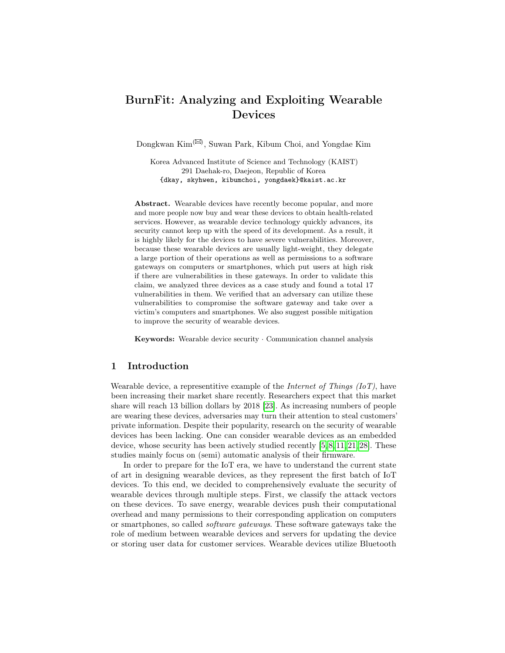# BurnFit: Analyzing and Exploiting Wearable Devices

Dongkwan  $\text{Kim}^{(\boxtimes)}$ , Suwan Park, Kibum Choi, and Yongdae Kim

Korea Advanced Institute of Science and Technology (KAIST) 291 Daehak-ro, Daejeon, Republic of Korea {dkay, skyhwen, kibumchoi, yongdaek}@kaist.ac.kr

Abstract. Wearable devices have recently become popular, and more and more people now buy and wear these devices to obtain health-related services. However, as wearable device technology quickly advances, its security cannot keep up with the speed of its development. As a result, it is highly likely for the devices to have severe vulnerabilities. Moreover, because these wearable devices are usually light-weight, they delegate a large portion of their operations as well as permissions to a software gateways on computers or smartphones, which put users at high risk if there are vulnerabilities in these gateways. In order to validate this claim, we analyzed three devices as a case study and found a total 17 vulnerabilities in them. We verified that an adversary can utilize these vulnerabilities to compromise the software gateway and take over a victim's computers and smartphones. We also suggest possible mitigation to improve the security of wearable devices.

Keywords: Wearable device security · Communication channel analysis

## 1 Introduction

Wearable device, a representitive example of the *Internet of Things (IoT)*, have been increasing their market share recently. Researchers expect that this market share will reach 13 billion dollars by 2018 [\[23\]](#page-11-0). As increasing numbers of people are wearing these devices, adversaries may turn their attention to steal customers' private information. Despite their popularity, research on the security of wearable devices has been lacking. One can consider wearable devices as an embedded device, whose security has been actively studied recently [\[5,](#page-10-0) [8,](#page-11-1) [11,](#page-11-2) [21,](#page-11-3) [28\]](#page-11-4). These studies mainly focus on (semi) automatic analysis of their firmware.

In order to prepare for the IoT era, we have to understand the current state of art in designing wearable devices, as they represent the first batch of IoT devices. To this end, we decided to comprehensively evaluate the security of wearable devices through multiple steps. First, we classify the attack vectors on these devices. To save energy, wearable devices push their computational overhead and many permissions to their corresponding application on computers or smartphones, so called software gateways. These software gateways take the role of medium between wearable devices and servers for updating the device or storing user data for customer services. Wearable devices utilize Bluetooth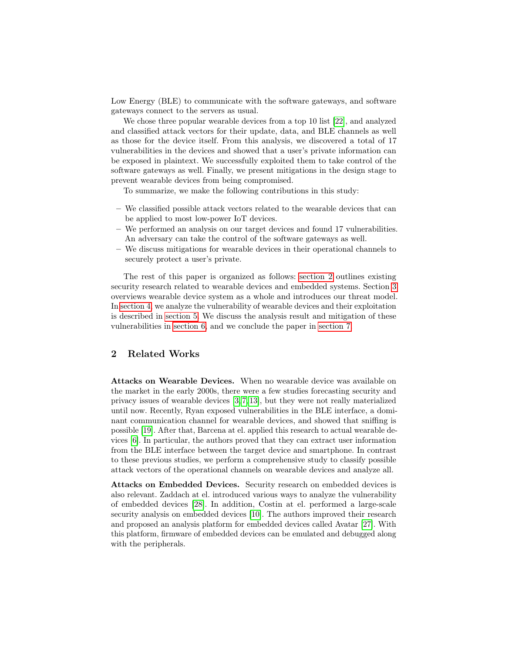Low Energy (BLE) to communicate with the software gateways, and software gateways connect to the servers as usual.

We chose three popular wearable devices from a top 10 list [\[22\]](#page-11-5), and analyzed and classified attack vectors for their update, data, and BLE channels as well as those for the device itself. From this analysis, we discovered a total of 17 vulnerabilities in the devices and showed that a user's private information can be exposed in plaintext. We successfully exploited them to take control of the software gateways as well. Finally, we present mitigations in the design stage to prevent wearable devices from being compromised.

To summarize, we make the following contributions in this study:

- We classified possible attack vectors related to the wearable devices that can be applied to most low-power IoT devices.
- We performed an analysis on our target devices and found 17 vulnerabilities. An adversary can take the control of the software gateways as well.
- We discuss mitigations for wearable devices in their operational channels to securely protect a user's private.

The rest of this paper is organized as follows: [section 2](#page-1-0) outlines existing security research related to wearable devices and embedded systems. Section [3](#page-2-0) overviews wearable device system as a whole and introduces our threat model. In [section 4,](#page-4-0) we analyze the vulnerability of wearable devices and their exploitation is described in [section 5.](#page-8-0) We discuss the analysis result and mitigation of these vulnerabilities in [section 6,](#page-9-0) and we conclude the paper in [section 7.](#page-10-1)

# <span id="page-1-0"></span>2 Related Works

Attacks on Wearable Devices. When no wearable device was available on the market in the early 2000s, there were a few studies forecasting security and privacy issues of wearable devices [\[3,](#page-10-2) [7,](#page-10-3) [13\]](#page-11-6), but they were not really materialized until now. Recently, Ryan exposed vulnerabilities in the BLE interface, a dominant communication channel for wearable devices, and showed that sniffing is possible [\[19\]](#page-11-7). After that, Barcena at el. applied this research to actual wearable devices [\[6\]](#page-10-4). In particular, the authors proved that they can extract user information from the BLE interface between the target device and smartphone. In contrast to these previous studies, we perform a comprehensive study to classify possible attack vectors of the operational channels on wearable devices and analyze all.

Attacks on Embedded Devices. Security research on embedded devices is also relevant. Zaddach at el. introduced various ways to analyze the vulnerability of embedded devices [\[28\]](#page-11-4). In addition, Costin at el. performed a large-scale security analysis on embedded devices [\[10\]](#page-11-8). The authors improved their research and proposed an analysis platform for embedded devices called Avatar [\[27\]](#page-11-9). With this platform, firmware of embedded devices can be emulated and debugged along with the peripherals.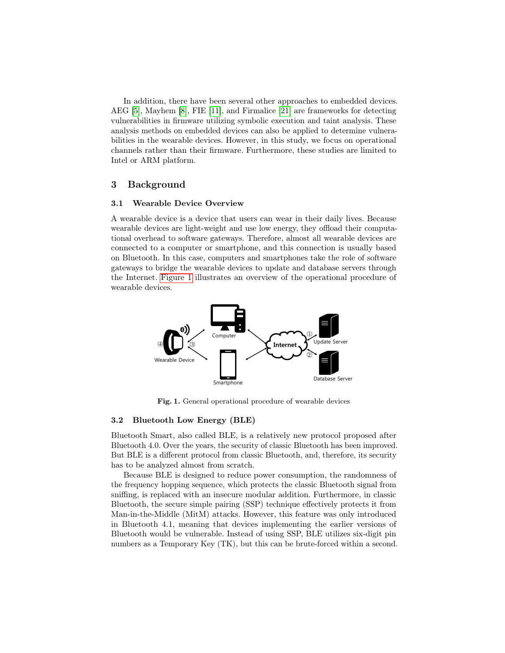In addition, there have been several other approaches to embedded devices. AEG [\[5\]](#page-10-0), Mayhem [\[8\]](#page-11-1), FIE [\[11\]](#page-11-2), and Firmalice [\[21\]](#page-11-3) are frameworks for detecting vulnerabilities in firmware utilizing symbolic execution and taint analysis. These analysis methods on embedded devices can also be applied to determine vulnerabilities in the wearable devices. However, in this study, we focus on operational channels rather than their firmware. Furthermore, these studies are limited to Intel or ARM platform.

## <span id="page-2-0"></span>3 Background

## 3.1 Wearable Device Overview

A wearable device is a device that users can wear in their daily lives. Because wearable devices are light-weight and use low energy, they offload their computational overhead to software gateways. Therefore, almost all wearable devices are connected to a computer or smartphone, and this connection is usually based on Bluetooth. In this case, computers and smartphones take the role of software gateways to bridge the wearable devices to update and database servers through the Internet. [Figure 1](#page-2-1) illustrates an overview of the operational procedure of wearable devices.



<span id="page-2-1"></span>Fig. 1. General operational procedure of wearable devices

## 3.2 Bluetooth Low Energy (BLE)

Bluetooth Smart, also called BLE, is a relatively new protocol proposed after Bluetooth 4.0. Over the years, the security of classic Bluetooth has been improved. But BLE is a different protocol from classic Bluetooth, and, therefore, its security has to be analyzed almost from scratch.

Because BLE is designed to reduce power consumption, the randomness of the frequency hopping sequence, which protects the classic Bluetooth signal from sniffing, is replaced with an insecure modular addition. Furthermore, in classic Bluetooth, the secure simple pairing (SSP) technique effectively protects it from Man-in-the-Middle (MitM) attacks. However, this feature was only introduced in Bluetooth 4.1, meaning that devices implementing the earlier versions of Bluetooth would be vulnerable. Instead of using SSP, BLE utilizes six-digit pin numbers as a Temporary Key (TK), but this can be brute-forced within a second.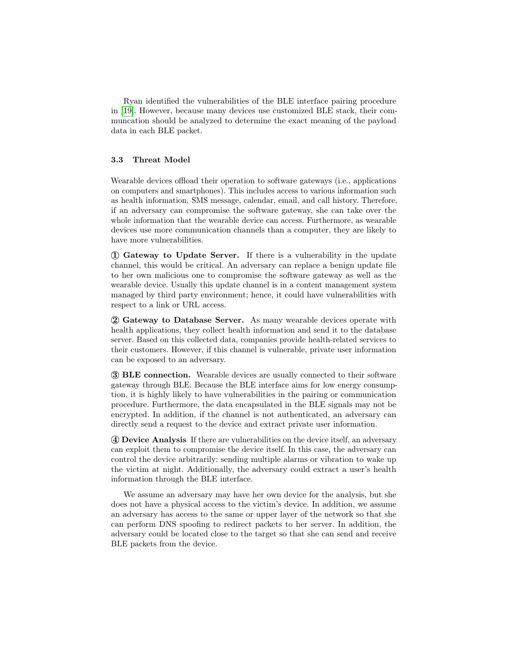Ryan identified the vulnerabilities of the BLE interface pairing procedure in [\[19\]](#page-11-7). However, because many devices use customized BLE stack, their communcation should be analyzed to determine the exact meaning of the payload data in each BLE packet.

## 3.3 Threat Model

Wearable devices offload their operation to software gateways (i.e., applications on computers and smartphones). This includes access to various information such as health information, SMS message, calendar, email, and call history. Therefore, if an adversary can compromise the software gateway, she can take over the whole information that the wearable device can access. Furthermore, as wearable devices use more communication channels than a computer, they are likely to have more vulnerabilities.

1 Gateway to Update Server. If there is a vulnerability in the update channel, this would be critical. An adversary can replace a benign update file to her own malicious one to compromise the software gateway as well as the wearable device. Usually this update channel is in a content management system managed by third party environment; hence, it could have vulnerabilities with respect to a link or URL access.

2 Gateway to Database Server. As many wearable devices operate with health applications, they collect health information and send it to the database server. Based on this collected data, companies provide health-related services to their customers. However, if this channel is vulnerable, private user information can be exposed to an adversary.

3 BLE connection. Wearable devices are usually connected to their software gateway through BLE. Because the BLE interface aims for low energy consumption, it is highly likely to have vulnerabilities in the pairing or communication procedure. Furthermore, the data encapsulated in the BLE signals may not be encrypted. In addition, if the channel is not authenticated, an adversary can directly send a request to the device and extract private user information.

4 Device Analysis If there are vulnerabilities on the device itself, an adversary can exploit them to compromise the device itself. In this case, the adversary can control the device arbitrarily: sending multiple alarms or vibration to wake up the victim at night. Additionally, the adversary could extract a user's health information through the BLE interface.

We assume an adversary may have her own device for the analysis, but she does not have a physical access to the victim's device. In addition, we assume an adversary has access to the same or upper layer of the network so that she can perform DNS spoofing to redirect packets to her server. In addition, the adversary could be located close to the target so that she can send and receive BLE packets from the device.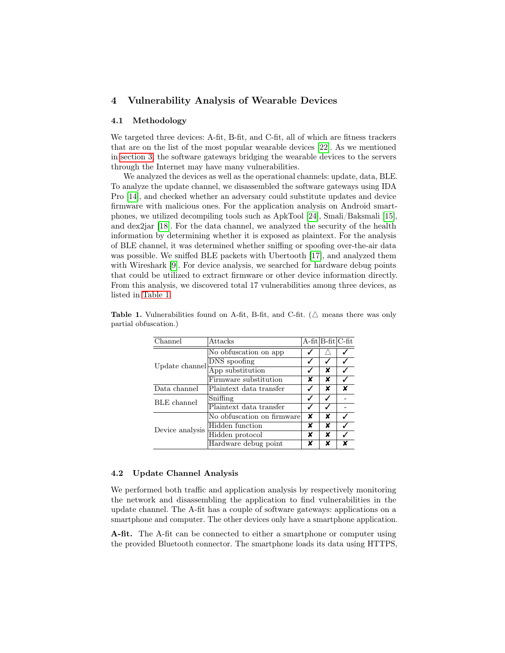# <span id="page-4-0"></span>4 Vulnerability Analysis of Wearable Devices

#### 4.1 Methodology

We targeted three devices: A-fit, B-fit, and C-fit, all of which are fitness trackers that are on the list of the most popular wearable devices [\[22\]](#page-11-5). As we mentioned in [section 3,](#page-2-0) the software gateways bridging the wearable devices to the servers through the Internet may have many vulnerabilities.

We analyzed the devices as well as the operational channels: update, data, BLE. To analyze the update channel, we disassembled the software gateways using IDA Pro [\[14\]](#page-11-10), and checked whether an adversary could substitute updates and device firmware with malicious ones. For the application analysis on Android smartphones, we utilized decompiling tools such as ApkTool [\[24\]](#page-11-11), Smali/Baksmali [\[15\]](#page-11-12), and dex2jar [\[18\]](#page-11-13). For the data channel, we analyzed the security of the health information by determining whether it is exposed as plaintext. For the analysis of BLE channel, it was determined whether sniffing or spoofing over-the-air data was possible. We sniffed BLE packets with Ubertooth [\[17\]](#page-11-14), and analyzed them with Wireshark [\[9\]](#page-11-15). For device analysis, we searched for hardware debug points that could be utilized to extract firmware or other device information directly. From this analysis, we discovered total 17 vulnerabilities among three devices, as listed in [Table 1.](#page-4-1)

<span id="page-4-1"></span>

| Channel         | Attacks                    |   | $A$ -fit $B$ -fit $C$ -fit |   |
|-----------------|----------------------------|---|----------------------------|---|
| Update channel  | No obfuscation on app.     |   |                            |   |
|                 | DNS spoofing               |   |                            |   |
|                 | App substitution           |   | x                          |   |
|                 | Firmware substitution      | x | x                          |   |
| Data channel    | Plaintext data transfer    |   | x                          | x |
| BLE channel     | Sniffing                   |   |                            |   |
|                 | Plaintext data transfer    |   |                            |   |
| Device analysis | No obfuscation on firmware | x | ×                          |   |
|                 | Hidden function            | x | x                          |   |
|                 | Hidden protocol            | x | x                          |   |
|                 | Hardware debug point       |   |                            |   |

**Table 1.** Vulnerabilities found on A-fit, B-fit, and C-fit. ( $\triangle$  means there was only partial obfuscation.)

#### <span id="page-4-2"></span>4.2 Update Channel Analysis

We performed both traffic and application analysis by respectively monitoring the network and disassembling the application to find vulnerabilities in the update channel. The A-fit has a couple of software gateways: applications on a smartphone and computer. The other devices only have a smartphone application.

A-fit. The A-fit can be connected to either a smartphone or computer using the provided Bluetooth connector. The smartphone loads its data using HTTPS,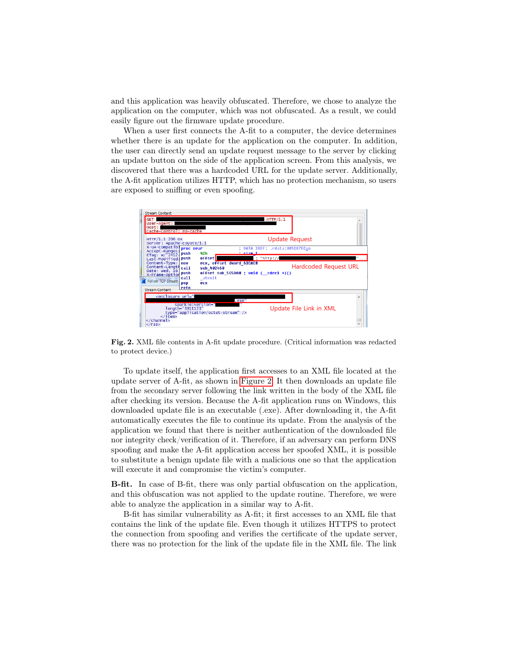and this application was heavily obfuscated. Therefore, we chose to analyze the application on the computer, which was not obfuscated. As a result, we could easily figure out the firmware update procedure.

When a user first connects the A-fit to a computer, the device determines whether there is an update for the application on the computer. In addition, the user can directly send an update request message to the server by clicking an update button on the side of the application screen. From this analysis, we discovered that there was a hardcoded URL for the update server. Additionally, the A-fit application utilizes HTTP, which has no protection mechanism, so users are exposed to sniffing or even spoofing.



<span id="page-5-0"></span>Fig. 2. XML file contents in A-fit update procedure. (Critical information was redacted to protect device.)

To update itself, the application first accesses to an XML file located at the update server of A-fit, as shown in [Figure 2.](#page-5-0) It then downloads an update file from the secondary server following the link written in the body of the XML file after checking its version. Because the A-fit application runs on Windows, this downloaded update file is an executable (.exe). After downloading it, the A-fit automatically executes the file to continue its update. From the analysis of the application we found that there is neither authentication of the downloaded file nor integrity check/verification of it. Therefore, if an adversary can perform DNS spoofing and make the A-fit application access her spoofed XML, it is possible to substitute a benign update file with a malicious one so that the application will execute it and compromise the victim's computer.

B-fit. In case of B-fit, there was only partial obfuscation on the application, and this obfuscation was not applied to the update routine. Therefore, we were able to analyze the application in a similar way to A-fit.

B-fit has similar vulnerability as A-fit; it first accesses to an XML file that contains the link of the update file. Even though it utilizes HTTPS to protect the connection from spoofing and verifies the certificate of the update server, there was no protection for the link of the update file in the XML file. The link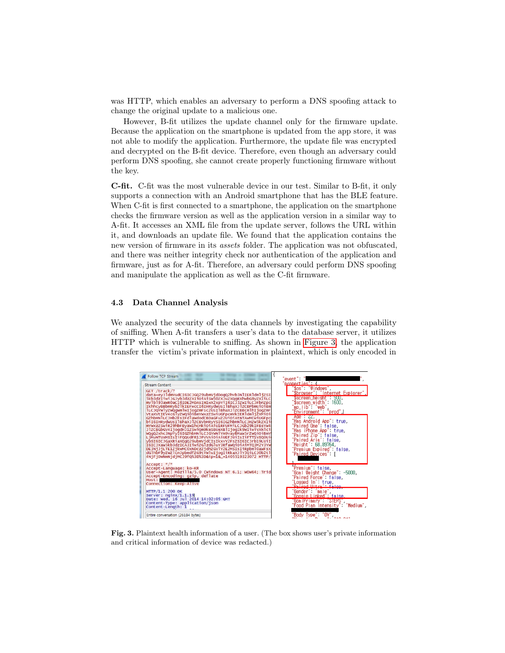was HTTP, which enables an adversary to perform a DNS spoofing attack to change the original update to a malicious one.

However, B-fit utilizes the update channel only for the firmware update. Because the application on the smartphone is updated from the app store, it was not able to modify the application. Furthermore, the update file was encrypted and decrypted on the B-fit device. Therefore, even though an adversary could perform DNS spoofing, she cannot create properly functioning firmware without the key.

C-fit. C-fit was the most vulnerable device in our test. Similar to B-fit, it only supports a connection with an Android smartphone that has the BLE feature. When C-fit is first connected to a smartphone, the application on the smartphone checks the firmware version as well as the application version in a similar way to A-fit. It accesses an XML file from the update server, follows the URL within it, and downloads an update file. We found that the application contains the new version of firmware in its assets folder. The application was not obfuscated, and there was neither integrity check nor authentication of the application and firmware, just as for A-fit. Therefore, an adversary could perform DNS spoofing and manipulate the application as well as the C-fit firmware.

#### 4.3 Data Channel Analysis

We analyzed the security of the data channels by investigating the capability of sniffing. When A-fit transfers a user's data to the database server, it utilizes HTTP which is vulnerable to sniffing. As shown in [Figure 3,](#page-6-0) the application transfer the victim's private information in plaintext, which is only encoded in



<span id="page-6-0"></span>Fig. 3. Plaintext health information of a user. (The box shows user's private information and critical information of device was redacted.)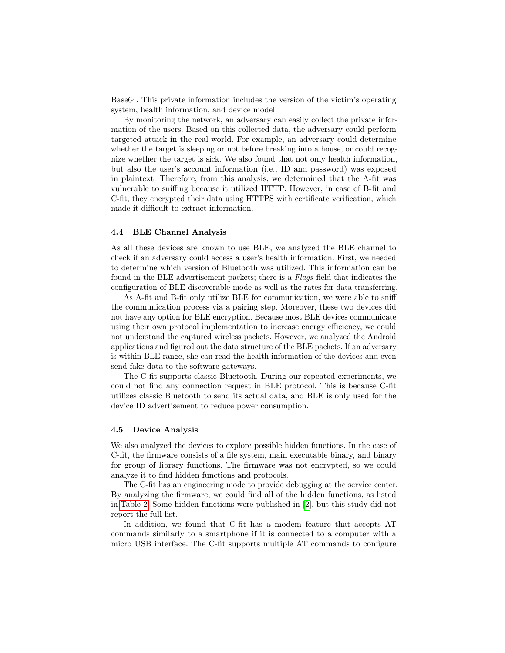Base64. This private information includes the version of the victim's operating system, health information, and device model.

By monitoring the network, an adversary can easily collect the private information of the users. Based on this collected data, the adversary could perform targeted attack in the real world. For example, an adversary could determine whether the target is sleeping or not before breaking into a house, or could recognize whether the target is sick. We also found that not only health information, but also the user's account information (i.e., ID and password) was exposed in plaintext. Therefore, from this analysis, we determined that the A-fit was vulnerable to sniffing because it utilized HTTP. However, in case of B-fit and C-fit, they encrypted their data using HTTPS with certificate verification, which made it difficult to extract information.

#### 4.4 BLE Channel Analysis

As all these devices are known to use BLE, we analyzed the BLE channel to check if an adversary could access a user's health information. First, we needed to determine which version of Bluetooth was utilized. This information can be found in the BLE advertisement packets; there is a Flags field that indicates the configuration of BLE discoverable mode as well as the rates for data transferring.

As A-fit and B-fit only utilize BLE for communication, we were able to sniff the communication process via a pairing step. Moreover, these two devices did not have any option for BLE encryption. Because most BLE devices communicate using their own protocol implementation to increase energy efficiency, we could not understand the captured wireless packets. However, we analyzed the Android applications and figured out the data structure of the BLE packets. If an adversary is within BLE range, she can read the health information of the devices and even send fake data to the software gateways.

The C-fit supports classic Bluetooth. During our repeated experiments, we could not find any connection request in BLE protocol. This is because C-fit utilizes classic Bluetooth to send its actual data, and BLE is only used for the device ID advertisement to reduce power consumption.

#### 4.5 Device Analysis

We also analyzed the devices to explore possible hidden functions. In the case of C-fit, the firmware consists of a file system, main executable binary, and binary for group of library functions. The firmware was not encrypted, so we could analyze it to find hidden functions and protocols.

The C-fit has an engineering mode to provide debugging at the service center. By analyzing the firmware, we could find all of the hidden functions, as listed in [Table 2.](#page-8-1) Some hidden functions were published in [\[2\]](#page-10-5), but this study did not report the full list.

In addition, we found that C-fit has a modem feature that accepts AT commands similarly to a smartphone if it is connected to a computer with a micro USB interface. The C-fit supports multiple AT commands to configure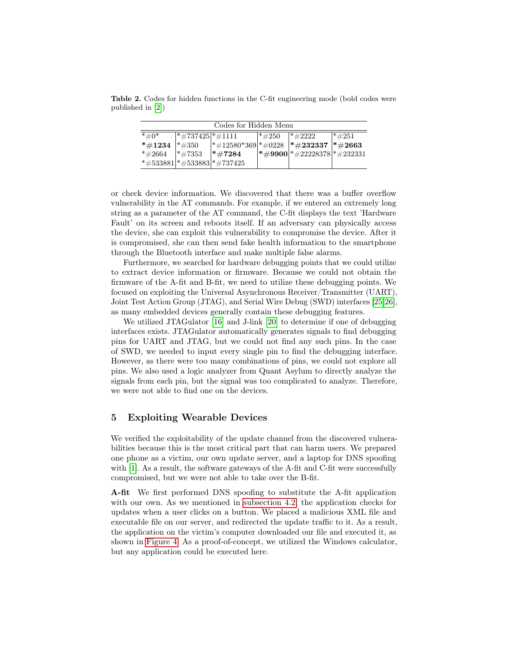Table 2. Codes for hidden functions in the C-fit engineering mode (bold codes were published in [\[2\]](#page-10-5))

<span id="page-8-1"></span>

| Codes for Hidden Menu |                    |                                      |           |                            |          |  |  |
|-----------------------|--------------------|--------------------------------------|-----------|----------------------------|----------|--|--|
| $*_{\#0^*}$           | $ *#737425 *#1111$ |                                      | $ *_#250$ | $*_{\#2222}$               | $ *#251$ |  |  |
| $*$ #1234             | $* \#350$          | *#12580*369 *#0228  *#232337  *#2663 |           |                            |          |  |  |
| $*#2664$              | $ *#7353$          | $ * \# 7284$                         |           | *#9900 *#22228378 *#232331 |          |  |  |
|                       |                    | $*#533881 *#533883 *#737425$         |           |                            |          |  |  |

or check device information. We discovered that there was a buffer overflow vulnerability in the AT commands. For example, if we entered an extremely long string as a parameter of the AT command, the C-fit displays the text 'Hardware Fault' on its screen and reboots itself. If an adversary can physically access the device, she can exploit this vulnerability to compromise the device. After it is compromised, she can then send fake health information to the smartphone through the Bluetooth interface and make multiple false alarms.

Furthermore, we searched for hardware debugging points that we could utilize to extract device information or firmware. Because we could not obtain the firmware of the A-fit and B-fit, we need to utilize these debugging points. We focused on exploiting the Universal Asynchronous Receiver/Transmitter (UART), Joint Test Action Group (JTAG), and Serial Wire Debug (SWD) interfaces [\[25,](#page-11-16)[26\]](#page-11-17), as many embedded devices generally contain these debugging features.

We utilized JTAGulator [\[16\]](#page-11-18) and J-link [\[20\]](#page-11-19) to determine if one of debugging interfaces exists. JTAGulator automatically generates signals to find debugging pins for UART and JTAG, but we could not find any such pins. In the case of SWD, we needed to input every single pin to find the debugging interface. However, as there were too many combinations of pins, we could not explore all pins. We also used a logic analyzer from Quant Asylum to directly analyze the signals from each pin, but the signal was too complicated to analyze. Therefore, we were not able to find one on the devices.

# <span id="page-8-0"></span>5 Exploiting Wearable Devices

We verified the exploitability of the update channel from the discovered vulnerabilities because this is the most critical part that can harm users. We prepared one phone as a victim, our own update server, and a laptop for DNS spoofing with [\[1\]](#page-10-6). As a result, the software gateways of the A-fit and C-fit were successfully compromised, but we were not able to take over the B-fit.

A-fit We first performed DNS spoofing to substitute the A-fit application with our own. As we mentioned in [subsection 4.2,](#page-4-2) the application checks for updates when a user clicks on a button. We placed a malicious XML file and executable file on our server, and redirected the update traffic to it. As a result, the application on the victim's computer downloaded our file and executed it, as shown in [Figure 4.](#page-9-1) As a proof-of-concept, we utilized the Windows calculator, but any application could be executed here.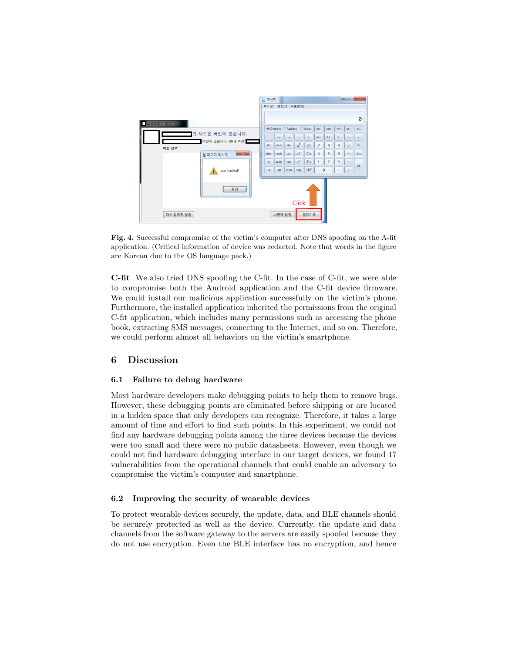

Fig. 4. Successful compromise of the victim's computer after DNS spoofing on the A-fit application. (Critical information of device was redacted. Note that words in the figure are Korean due to the OS language pack.)

<span id="page-9-1"></span>C-fit We also tried DNS spoofing the C-fit. In the case of C-fit, we were able to compromise both the Android application and the C-fit device firmware. We could install our malicious application successfully on the victim's phone. Furthermore, the installed application inherited the permissions from the original C-fit application, which includes many permissions such as accessing the phone book, extracting SMS messages, connecting to the Internet, and so on. Therefore, we could perform almost all behaviors on the victim's smartphone.

# <span id="page-9-0"></span>6 Discussion

# 6.1 Failure to debug hardware

Most hardware developers make debugging points to help them to remove bugs. However, these debugging points are eliminated before shipping or are located in a hidden space that only developers can recognize. Therefore, it takes a large amount of time and effort to find such points. In this experiment, we could not find any hardware debugging points among the three devices because the devices were too small and there were no public datasheets. However, even though we could not find hardware debugging interface in our target devices, we found 17 vulnerabilities from the operational channels that could enable an adversary to compromise the victim's computer and smartphone.

## 6.2 Improving the security of wearable devices

To protect wearable devices securely, the update, data, and BLE channels should be securely protected as well as the device. Currently, the update and data channels from the software gateway to the servers are easily spoofed because they do not use encryption. Even the BLE interface has no encryption, and hence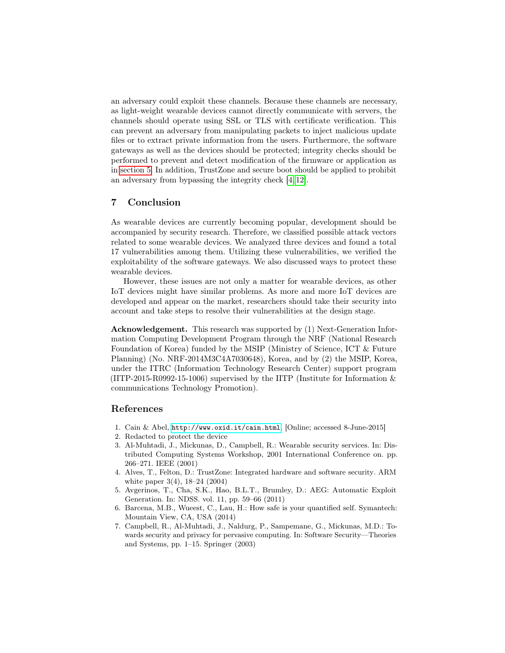an adversary could exploit these channels. Because these channels are necessary, as light-weight wearable devices cannot directly communicate with servers, the channels should operate using SSL or TLS with certificate verification. This can prevent an adversary from manipulating packets to inject malicious update files or to extract private information from the users. Furthermore, the software gateways as well as the devices should be protected; integrity checks should be performed to prevent and detect modification of the firmware or application as in [section 5.](#page-8-0) In addition, TrustZone and secure boot should be applied to prohibit an adversary from bypassing the integrity check [\[4,](#page-10-7) [12\]](#page-11-20).

# <span id="page-10-1"></span>7 Conclusion

As wearable devices are currently becoming popular, development should be accompanied by security research. Therefore, we classified possible attack vectors related to some wearable devices. We analyzed three devices and found a total 17 vulnerabilities among them. Utilizing these vulnerabilities, we verified the exploitability of the software gateways. We also discussed ways to protect these wearable devices.

However, these issues are not only a matter for wearable devices, as other IoT devices might have similar problems. As more and more IoT devices are developed and appear on the market, researchers should take their security into account and take steps to resolve their vulnerabilities at the design stage.

Acknowledgement. This research was supported by (1) Next-Generation Information Computing Development Program through the NRF (National Research Foundation of Korea) funded by the MSIP (Ministry of Science, ICT & Future Planning) (No. NRF-2014M3C4A7030648), Korea, and by (2) the MSIP, Korea, under the ITRC (Information Technology Research Center) support program (IITP-2015-R0992-15-1006) supervised by the IITP (Institute for Information  $\&$ communications Technology Promotion).

## References

- <span id="page-10-6"></span>1. Cain & Abel, <http://www.oxid.it/cain.html>, [Online; accessed 8-June-2015]
- <span id="page-10-5"></span>2. Redacted to protect the device
- <span id="page-10-2"></span>3. Al-Muhtadi, J., Mickunas, D., Campbell, R.: Wearable security services. In: Distributed Computing Systems Workshop, 2001 International Conference on. pp. 266–271. IEEE (2001)
- <span id="page-10-7"></span>4. Alves, T., Felton, D.: TrustZone: Integrated hardware and software security. ARM white paper 3(4), 18–24 (2004)
- <span id="page-10-0"></span>5. Avgerinos, T., Cha, S.K., Hao, B.L.T., Brumley, D.: AEG: Automatic Exploit Generation. In: NDSS. vol. 11, pp. 59–66 (2011)
- <span id="page-10-4"></span>6. Barcena, M.B., Wueest, C., Lau, H.: How safe is your quantified self. Symantech: Mountain View, CA, USA (2014)
- <span id="page-10-3"></span>7. Campbell, R., Al-Muhtadi, J., Naldurg, P., Sampemane, G., Mickunas, M.D.: Towards security and privacy for pervasive computing. In: Software Security—Theories and Systems, pp. 1–15. Springer (2003)